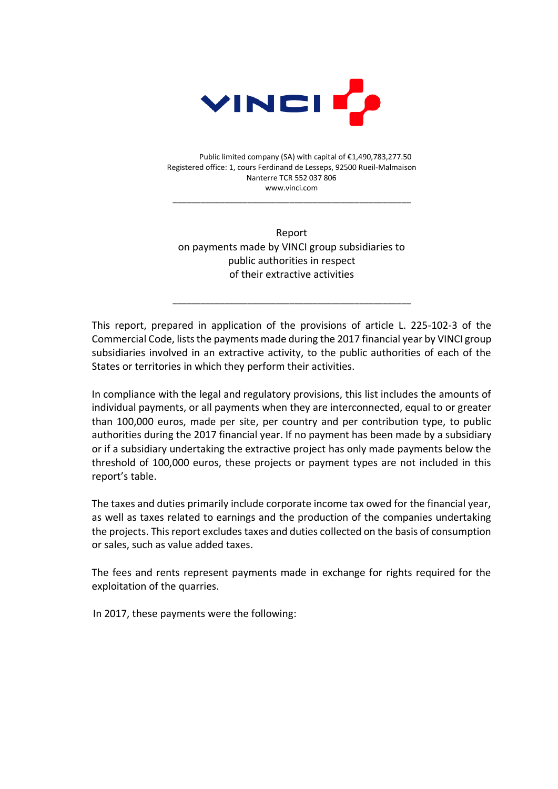

Public limited company (SA) with capital of €1,490,783,277.50 Registered office: 1, cours Ferdinand de Lesseps, 92500 Rueil-Malmaison Nanterre TCR 552 037 806 www.vinci.com

\_\_\_\_\_\_\_\_\_\_\_\_\_\_\_\_\_\_\_\_\_\_\_\_\_\_\_\_\_\_\_\_\_\_\_\_\_\_\_\_\_\_\_\_\_\_\_\_\_\_\_

Report on payments made by VINCI group subsidiaries to public authorities in respect of their extractive activities

This report, prepared in application of the provisions of article L. 225-102-3 of the Commercial Code, lists the payments made during the 2017 financial year by VINCI group subsidiaries involved in an extractive activity, to the public authorities of each of the States or territories in which they perform their activities.

\_\_\_\_\_\_\_\_\_\_\_\_\_\_\_\_\_\_\_\_\_\_\_\_\_\_\_\_\_\_\_\_\_\_\_\_\_\_\_\_\_\_\_\_\_\_\_\_\_\_\_

In compliance with the legal and regulatory provisions, this list includes the amounts of individual payments, or all payments when they are interconnected, equal to or greater than 100,000 euros, made per site, per country and per contribution type, to public authorities during the 2017 financial year. If no payment has been made by a subsidiary or if a subsidiary undertaking the extractive project has only made payments below the threshold of 100,000 euros, these projects or payment types are not included in this report's table.

The taxes and duties primarily include corporate income tax owed for the financial year, as well as taxes related to earnings and the production of the companies undertaking the projects. This report excludes taxes and duties collected on the basis of consumption or sales, such as value added taxes.

The fees and rents represent payments made in exchange for rights required for the exploitation of the quarries.

In 2017, these payments were the following: